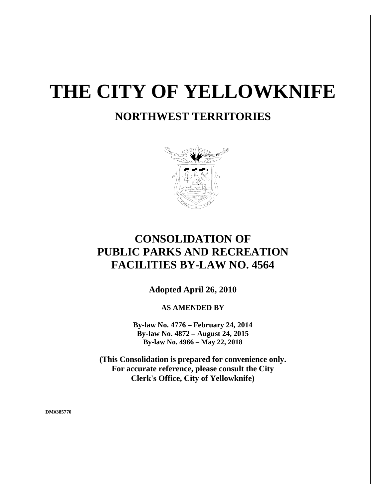# **THE CITY OF YELLOWKNIFE**

# **NORTHWEST TERRITORIES**



# **CONSOLIDATION OF PUBLIC PARKS AND RECREATION FACILITIES BY-LAW NO. 4564**

**Adopted April 26, 2010**

**AS AMENDED BY**

**By-law No. 4776 – February 24, 2014 By-law No. 4872 – August 24, 2015 By-law No. 4966 – May 22, 2018**

**(This Consolidation is prepared for convenience only. For accurate reference, please consult the City Clerk's Office, City of Yellowknife)**

**DM#385770**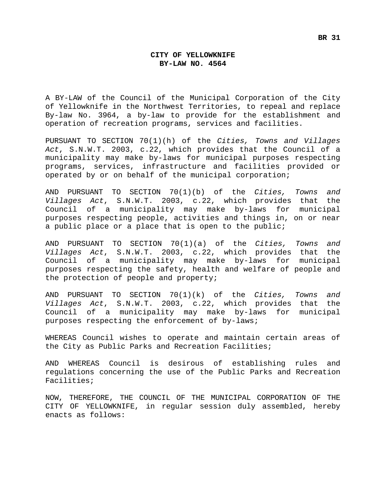# **CITY OF YELLOWKNIFE BY-LAW NO. 4564**

A BY-LAW of the Council of the Municipal Corporation of the City of Yellowknife in the Northwest Territories, to repeal and replace By-law No. 3964, a by-law to provide for the establishment and operation of recreation programs, services and facilities.

PURSUANT TO SECTION 70(1)(h) of the *Cities, Towns and Villages Act*, S.N.W.T. 2003, c.22, which provides that the Council of a municipality may make by-laws for municipal purposes respecting programs, services, infrastructure and facilities provided or operated by or on behalf of the municipal corporation;

AND PURSUANT TO SECTION 70(1)(b) of the *Cities, Towns and Villages Act*, S.N.W.T. 2003, c.22, which provides that the Council of a municipality may make by-laws for municipal purposes respecting people, activities and things in, on or near a public place or a place that is open to the public;

AND PURSUANT TO SECTION 70(1)(a) of the *Cities, Towns and Villages Act*, S.N.W.T. 2003, c.22, which provides that the Council of a municipality may make by-laws for municipal purposes respecting the safety, health and welfare of people and the protection of people and property;

AND PURSUANT TO SECTION 70(1)(k) of the *Cities, Towns and Villages Act*, S.N.W.T. 2003, c.22, which provides that the Council of a municipality may make by-laws for municipal purposes respecting the enforcement of by-laws;

WHEREAS Council wishes to operate and maintain certain areas of the City as Public Parks and Recreation Facilities;

AND WHEREAS Council is desirous of establishing rules and regulations concerning the use of the Public Parks and Recreation Facilities;

NOW, THEREFORE, THE COUNCIL OF THE MUNICIPAL CORPORATION OF THE CITY OF YELLOWKNIFE, in regular session duly assembled, hereby enacts as follows: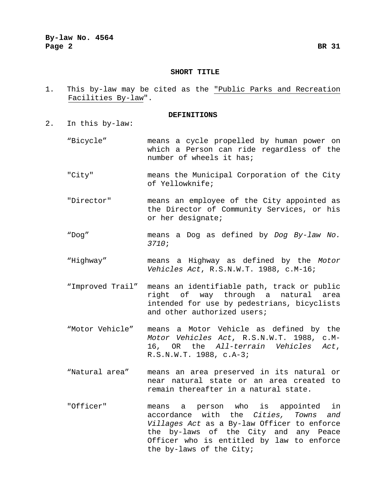# **SHORT TITLE**

1. This by-law may be cited as the "Public Parks and Recreation Facilities By-law".

#### **DEFINITIONS**

- 2. In this by-law:
	- "Bicycle" means a cycle propelled by human power on which a Person can ride regardless of the number of wheels it has;
	- "City" means the Municipal Corporation of the City of Yellowknife;
	- "Director" means an employee of the City appointed as the Director of Community Services, or his or her designate;
	- "Dog" means a Dog as defined by *Dog By-law No. 3710*;
	- "Highway" means a Highway as defined by the *Motor Vehicles Act*, R.S.N.W.T. 1988, c.M-16;
	- "Improved Trail" means an identifiable path, track or public right of way through a natural area intended for use by pedestrians, bicyclists and other authorized users;
	- "Motor Vehicle" means a Motor Vehicle as defined by the *Motor Vehicles Act*, R.S.N.W.T. 1988, c.M-16, OR the *All-terrain Vehicles Act*, R.S.N.W.T. 1988, c.A-3;
	- "Natural area" means an area preserved in its natural or near natural state or an area created to remain thereafter in a natural state.
	- "Officer" means a person who is appointed in accordance with the *Cities, Towns and Villages Act* as a By-law Officer to enforce the by-laws of the City and any Peace Officer who is entitled by law to enforce the by-laws of the City;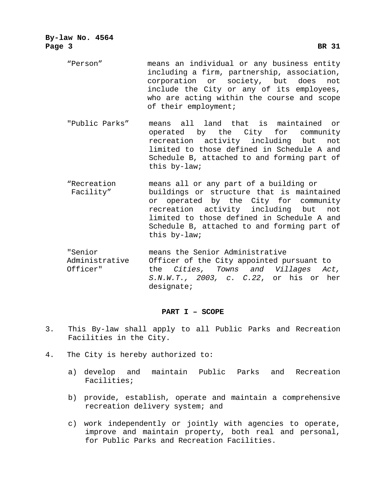| By-law No. 4564<br>Page 3 | <b>BR</b> 31                                                                                                                                                                                                                                                                          |
|---------------------------|---------------------------------------------------------------------------------------------------------------------------------------------------------------------------------------------------------------------------------------------------------------------------------------|
| "Person"                  | means an individual or any business entity<br>including a firm, partnership, association,<br>corporation or society, but does<br>not<br>include the City or any of its employees,<br>who are acting within the course and scope<br>of their employment;                               |
| "Public Parks"            | means all land that is maintained or<br>operated by the City for community<br>recreation activity including but<br>not<br>limited to those defined in Schedule A and<br>Schedule B, attached to and forming part of<br>this by-law;                                                   |
| "Recreation<br>Facility"  | means all or any part of a building or<br>buildings or structure that is maintained<br>or operated by the City for community<br>recreation activity including but<br>not<br>limited to those defined in Schedule A and<br>Schedule B, attached to and forming part of<br>this by-law; |
| "Senior<br>Administrative | means the Senior Administrative<br>Officer of the City appointed pursuant to                                                                                                                                                                                                          |

Administrative Officer of the City appointed pursuant to Officer" the *Cities, Towns and Villages Act, S.N.W.T., 2003, c. C.22*, or his or her designate;

# **PART I – SCOPE**

- 3. This By-law shall apply to all Public Parks and Recreation Facilities in the City.
- 4. The City is hereby authorized to:
	- a) develop and maintain Public Parks and Recreation Facilities;
	- b) provide, establish, operate and maintain a comprehensive recreation delivery system; and
	- c) work independently or jointly with agencies to operate, improve and maintain property, both real and personal, for Public Parks and Recreation Facilities.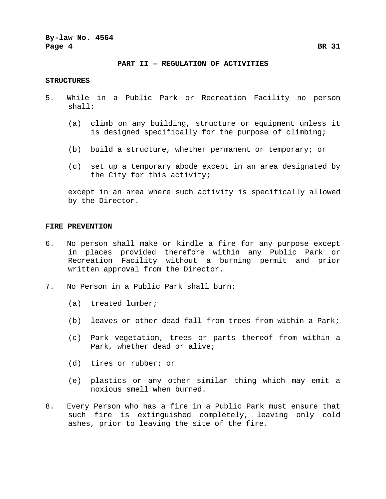**By-law No. 4564 Page 4 BR 31**

#### **PART II – REGULATION OF ACTIVITIES**

#### **STRUCTURES**

- 5. While in a Public Park or Recreation Facility no person shall:
	- (a) climb on any building, structure or equipment unless it is designed specifically for the purpose of climbing;
	- (b) build a structure, whether permanent or temporary; or
	- (c) set up a temporary abode except in an area designated by the City for this activity;

except in an area where such activity is specifically allowed by the Director.

#### **FIRE PREVENTION**

- 6. No person shall make or kindle a fire for any purpose except in places provided therefore within any Public Park or Recreation Facility without a burning permit and prior written approval from the Director.
- 7. No Person in a Public Park shall burn:
	- (a) treated lumber;
	- (b) leaves or other dead fall from trees from within a Park;
	- (c) Park vegetation, trees or parts thereof from within a Park, whether dead or alive;
	- (d) tires or rubber; or
	- (e) plastics or any other similar thing which may emit a noxious smell when burned.
- 8. Every Person who has a fire in a Public Park must ensure that such fire is extinguished completely, leaving only cold ashes, prior to leaving the site of the fire.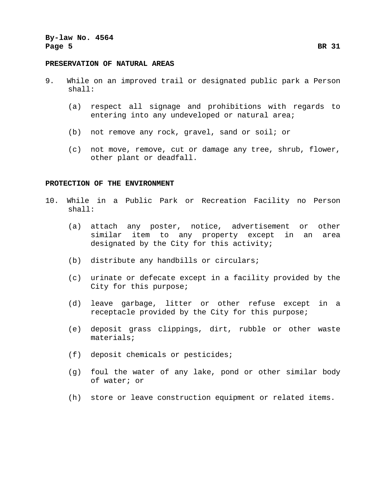#### **PRESERVATION OF NATURAL AREAS**

- 9. While on an improved trail or designated public park a Person shall:
	- (a) respect all signage and prohibitions with regards to entering into any undeveloped or natural area;
	- (b) not remove any rock, gravel, sand or soil; or
	- (c) not move, remove, cut or damage any tree, shrub, flower, other plant or deadfall.

## **PROTECTION OF THE ENVIRONMENT**

- 10. While in a Public Park or Recreation Facility no Person shall:
	- (a) attach any poster, notice, advertisement or other similar item to any property except in an area designated by the City for this activity;
	- (b) distribute any handbills or circulars;
	- (c) urinate or defecate except in a facility provided by the City for this purpose;
	- (d) leave garbage, litter or other refuse except in a receptacle provided by the City for this purpose;
	- (e) deposit grass clippings, dirt, rubble or other waste materials;
	- (f) deposit chemicals or pesticides;
	- (g) foul the water of any lake, pond or other similar body of water; or
	- (h) store or leave construction equipment or related items.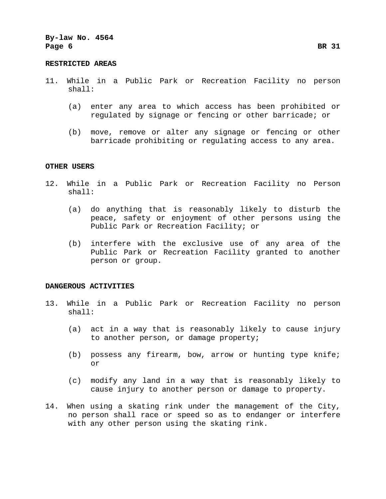#### **RESTRICTED AREAS**

- 11. While in a Public Park or Recreation Facility no person shall:
	- (a) enter any area to which access has been prohibited or regulated by signage or fencing or other barricade; or
	- (b) move, remove or alter any signage or fencing or other barricade prohibiting or regulating access to any area.

# **OTHER USERS**

- 12. While in a Public Park or Recreation Facility no Person shall:
	- (a) do anything that is reasonably likely to disturb the peace, safety or enjoyment of other persons using the Public Park or Recreation Facility; or
	- (b) interfere with the exclusive use of any area of the Public Park or Recreation Facility granted to another person or group.

#### **DANGEROUS ACTIVITIES**

- 13. While in a Public Park or Recreation Facility no person shall:
	- (a) act in a way that is reasonably likely to cause injury to another person, or damage property;
	- (b) possess any firearm, bow, arrow or hunting type knife; or
	- (c) modify any land in a way that is reasonably likely to cause injury to another person or damage to property.
- 14. When using a skating rink under the management of the City, no person shall race or speed so as to endanger or interfere with any other person using the skating rink.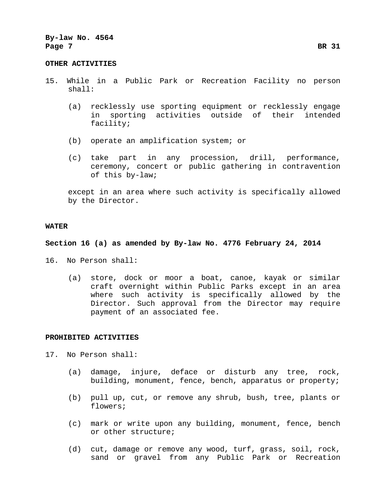#### **OTHER ACTIVITIES**

- 15. While in a Public Park or Recreation Facility no person shall:
	- (a) recklessly use sporting equipment or recklessly engage in sporting activities outside of their intended facility;
	- (b) operate an amplification system; or
	- (c) take part in any procession, drill, performance, ceremony, concert or public gathering in contravention of this by-law;

except in an area where such activity is specifically allowed by the Director.

#### **WATER**

# **Section 16 (a) as amended by By-law No. 4776 February 24, 2014**

- 16. No Person shall:
	- (a) store, dock or moor a boat, canoe, kayak or similar craft overnight within Public Parks except in an area where such activity is specifically allowed by the Director. Such approval from the Director may require payment of an associated fee.

#### **PROHIBITED ACTIVITIES**

- 17. No Person shall:
	- (a) damage, injure, deface or disturb any tree, rock, building, monument, fence, bench, apparatus or property;
	- (b) pull up, cut, or remove any shrub, bush, tree, plants or flowers;
	- (c) mark or write upon any building, monument, fence, bench or other structure;
	- (d) cut, damage or remove any wood, turf, grass, soil, rock, sand or gravel from any Public Park or Recreation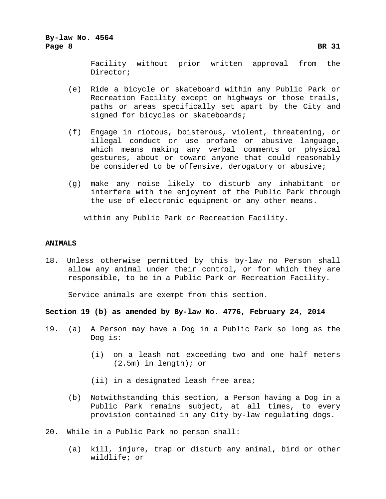# **By-law No. 4564 Page 8 BR 31**

- (e) Ride a bicycle or skateboard within any Public Park or Recreation Facility except on highways or those trails, paths or areas specifically set apart by the City and signed for bicycles or skateboards;
- (f) Engage in riotous, boisterous, violent, threatening, or illegal conduct or use profane or abusive language, which means making any verbal comments or physical gestures, about or toward anyone that could reasonably be considered to be offensive, derogatory or abusive;
- (g) make any noise likely to disturb any inhabitant or interfere with the enjoyment of the Public Park through the use of electronic equipment or any other means.

within any Public Park or Recreation Facility.

# **ANIMALS**

18. Unless otherwise permitted by this by-law no Person shall allow any animal under their control, or for which they are responsible, to be in a Public Park or Recreation Facility.

Service animals are exempt from this section.

**Section 19 (b) as amended by By-law No. 4776, February 24, 2014**

- 19. (a) A Person may have a Dog in a Public Park so long as the Dog is:
	- (i) on a leash not exceeding two and one half meters (2.5m) in length); or
	- (ii) in a designated leash free area;
	- (b) Notwithstanding this section, a Person having a Dog in a Public Park remains subject, at all times, to every provision contained in any City by-law regulating dogs.
- 20. While in a Public Park no person shall:
	- (a) kill, injure, trap or disturb any animal, bird or other wildlife; or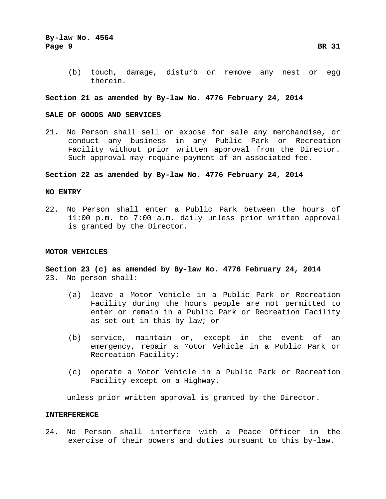(b) touch, damage, disturb or remove any nest or egg therein.

# **Section 21 as amended by By-law No. 4776 February 24, 2014**

# **SALE OF GOODS AND SERVICES**

21. No Person shall sell or expose for sale any merchandise, or conduct any business in any Public Park or Recreation Facility without prior written approval from the Director. Such approval may require payment of an associated fee.

# **Section 22 as amended by By-law No. 4776 February 24, 2014**

# **NO ENTRY**

22. No Person shall enter a Public Park between the hours of 11:00 p.m. to 7:00 a.m. daily unless prior written approval is granted by the Director.

#### **MOTOR VEHICLES**

**Section 23 (c) as amended by By-law No. 4776 February 24, 2014** 23. No person shall:

- (a) leave a Motor Vehicle in a Public Park or Recreation Facility during the hours people are not permitted to enter or remain in a Public Park or Recreation Facility as set out in this by-law; or
- (b) service, maintain or, except in the event of an emergency, repair a Motor Vehicle in a Public Park or Recreation Facility;
- (c) operate a Motor Vehicle in a Public Park or Recreation Facility except on a Highway.

unless prior written approval is granted by the Director.

### **INTERFERENCE**

24. No Person shall interfere with a Peace Officer in the exercise of their powers and duties pursuant to this by-law.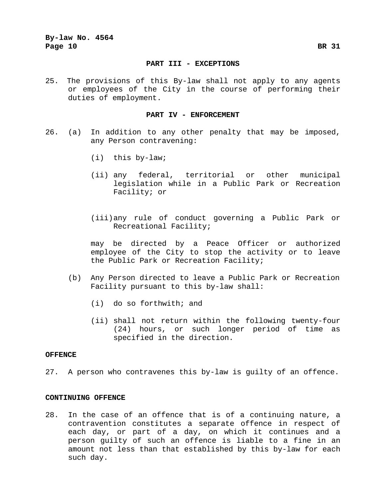#### **PART III - EXCEPTIONS**

25. The provisions of this By-law shall not apply to any agents or employees of the City in the course of performing their duties of employment.

#### **PART IV - ENFORCEMENT**

- 26. (a) In addition to any other penalty that may be imposed, any Person contravening:
	- (i) this by-law;
	- (ii) any federal, territorial or other municipal legislation while in a Public Park or Recreation Facility; or
	- (iii)any rule of conduct governing a Public Park or Recreational Facility;

may be directed by a Peace Officer or authorized employee of the City to stop the activity or to leave the Public Park or Recreation Facility;

- (b) Any Person directed to leave a Public Park or Recreation Facility pursuant to this by-law shall:
	- (i) do so forthwith; and
	- (ii) shall not return within the following twenty-four (24) hours, or such longer period of time as specified in the direction.

## **OFFENCE**

27. A person who contravenes this by-law is guilty of an offence.

#### **CONTINUING OFFENCE**

28. In the case of an offence that is of a continuing nature, a contravention constitutes a separate offence in respect of each day, or part of a day, on which it continues and a person guilty of such an offence is liable to a fine in an amount not less than that established by this by-law for each such day.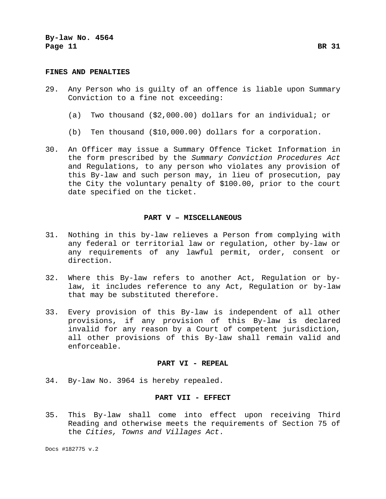# **FINES AND PENALTIES**

- 29. Any Person who is guilty of an offence is liable upon Summary Conviction to a fine not exceeding:
	- (a) Two thousand (\$2,000.00) dollars for an individual; or
	- (b) Ten thousand (\$10,000.00) dollars for a corporation.
- 30. An Officer may issue a Summary Offence Ticket Information in the form prescribed by the *Summary Conviction Procedures Act* and Regulations, to any person who violates any provision of this By-law and such person may, in lieu of prosecution, pay the City the voluntary penalty of \$100.00, prior to the court date specified on the ticket.

#### **PART V – MISCELLANEOUS**

- 31. Nothing in this by-law relieves a Person from complying with any federal or territorial law or regulation, other by-law or any requirements of any lawful permit, order, consent or direction.
- 32. Where this By-law refers to another Act, Regulation or bylaw, it includes reference to any Act, Regulation or by-law that may be substituted therefore.
- 33. Every provision of this By-law is independent of all other provisions, if any provision of this By-law is declared invalid for any reason by a Court of competent jurisdiction, all other provisions of this By-law shall remain valid and enforceable.

#### **PART VI - REPEAL**

34. By-law No. 3964 is hereby repealed.

#### **PART VII - EFFECT**

35. This By-law shall come into effect upon receiving Third Reading and otherwise meets the requirements of Section 75 of the *Cities, Towns and Villages Act*.

Docs #182775 v.2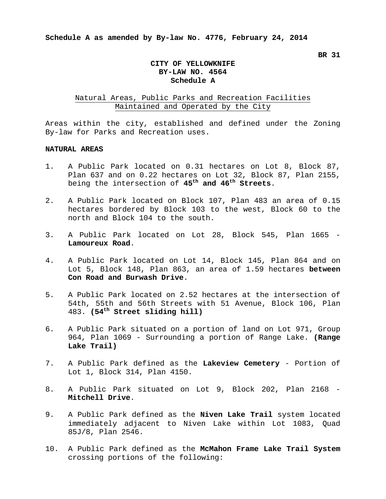# **CITY OF YELLOWKNIFE BY-LAW NO. 4564 Schedule A**

# Natural Areas, Public Parks and Recreation Facilities Maintained and Operated by the City

Areas within the city, established and defined under the Zoning By-law for Parks and Recreation uses.

# **NATURAL AREAS**

- 1. A Public Park located on 0.31 hectares on Lot 8, Block 87, Plan 637 and on 0.22 hectares on Lot 32, Block 87, Plan 2155, being the intersection of **45th and 46th Streets**.
- 2. A Public Park located on Block 107, Plan 483 an area of 0.15 hectares bordered by Block 103 to the west, Block 60 to the north and Block 104 to the south.
- 3. A Public Park located on Lot 28, Block 545, Plan 1665 **Lamoureux Road**.
- 4. A Public Park located on Lot 14, Block 145, Plan 864 and on Lot 5, Block 148, Plan 863, an area of 1.59 hectares **between Con Road and Burwash Drive**.
- 5. A Public Park located on 2.52 hectares at the intersection of 54th, 55th and 56th Streets with 51 Avenue, Block 106, Plan 483. **(54th Street sliding hill)**
- 6. A Public Park situated on a portion of land on Lot 971, Group 964, Plan 1069 - Surrounding a portion of Range Lake. **(Range Lake Trail)**
- 7. A Public Park defined as the **Lakeview Cemetery** Portion of Lot 1, Block 314, Plan 4150.
- 8. A Public Park situated on Lot 9, Block 202, Plan 2168 **Mitchell Drive**.
- 9. A Public Park defined as the **Niven Lake Trail** system located immediately adjacent to Niven Lake within Lot 1083, Quad 85J/8, Plan 2546.
- 10. A Public Park defined as the **McMahon Frame Lake Trail System** crossing portions of the following: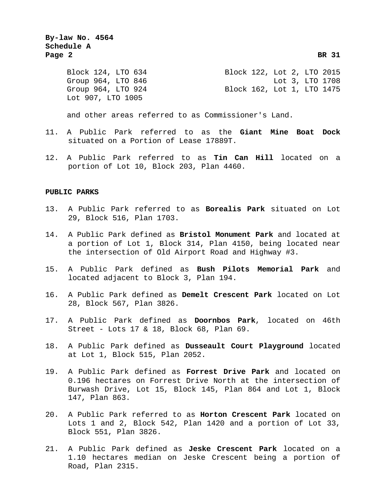**By-law No. 4564 Schedule A Page 2 BR 31**

Group 964, LTO 846<br>Group 964, LTO 924 Lot 907, LTO 1005

Block 124, LTO 634 Block 122, Lot 2, LTO 2015<br>Group 964, LTO 846 Lot 3, LTO 1708 Block 162, Lot 1, LTO 1475

and other areas referred to as Commissioner's Land.

- 11. A Public Park referred to as the **Giant Mine Boat Dock** situated on a Portion of Lease 17889T.
- 12. A Public Park referred to as **Tin Can Hill** located on a portion of Lot 10, Block 203, Plan 4460.

# **PUBLIC PARKS**

- 13. A Public Park referred to as **Borealis Park** situated on Lot 29, Block 516, Plan 1703.
- 14. A Public Park defined as **Bristol Monument Park** and located at a portion of Lot 1, Block 314, Plan 4150, being located near the intersection of Old Airport Road and Highway #3.
- 15. A Public Park defined as **Bush Pilots Memorial Park** and located adjacent to Block 3, Plan 194.
- 16. A Public Park defined as **Demelt Crescent Park** located on Lot 28, Block 567, Plan 3826.
- 17. A Public Park defined as **Doornbos Park**, located on 46th Street - Lots 17 & 18, Block 68, Plan 69.
- 18. A Public Park defined as **Dusseault Court Playground** located at Lot 1, Block 515, Plan 2052.
- 19. A Public Park defined as **Forrest Drive Park** and located on 0.196 hectares on Forrest Drive North at the intersection of Burwash Drive, Lot 15, Block 145, Plan 864 and Lot 1, Block 147, Plan 863.
- 20. A Public Park referred to as **Horton Crescent Park** located on Lots 1 and 2, Block 542, Plan 1420 and a portion of Lot 33, Block 551, Plan 3826.
- 21. A Public Park defined as **Jeske Crescent Park** located on a 1.10 hectares median on Jeske Crescent being a portion of Road, Plan 2315.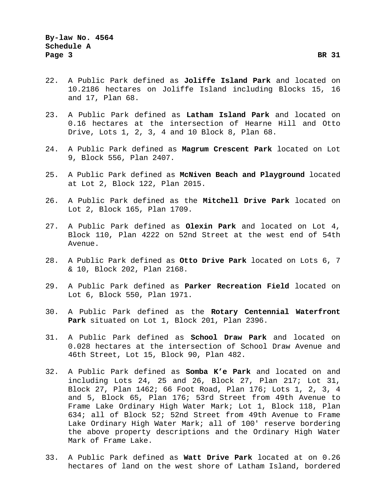- 22. A Public Park defined as **Joliffe Island Park** and located on 10.2186 hectares on Joliffe Island including Blocks 15, 16 and 17, Plan 68.
- 23. A Public Park defined as **Latham Island Park** and located on 0.16 hectares at the intersection of Hearne Hill and Otto Drive, Lots 1, 2, 3, 4 and 10 Block 8, Plan 68.
- 24. A Public Park defined as **Magrum Crescent Park** located on Lot 9, Block 556, Plan 2407.
- 25. A Public Park defined as **McNiven Beach and Playground** located at Lot 2, Block 122, Plan 2015.
- 26. A Public Park defined as the **Mitchell Drive Park** located on Lot 2, Block 165, Plan 1709.
- 27. A Public Park defined as **Olexin Park** and located on Lot 4, Block 110, Plan 4222 on 52nd Street at the west end of 54th Avenue.
- 28. A Public Park defined as **Otto Drive Park** located on Lots 6, 7 & 10, Block 202, Plan 2168.
- 29. A Public Park defined as **Parker Recreation Field** located on Lot 6, Block 550, Plan 1971.
- 30. A Public Park defined as the **Rotary Centennial Waterfront Park** situated on Lot 1, Block 201, Plan 2396.
- 31. A Public Park defined as **School Draw Park** and located on 0.028 hectares at the intersection of School Draw Avenue and 46th Street, Lot 15, Block 90, Plan 482.
- 32. A Public Park defined as **Somba K'e Park** and located on and including Lots 24, 25 and 26, Block 27, Plan 217; Lot 31, Block 27, Plan 1462; 66 Foot Road, Plan 176; Lots 1, 2, 3, 4 and 5, Block 65, Plan 176; 53rd Street from 49th Avenue to Frame Lake Ordinary High Water Mark; Lot 1, Block 118, Plan 634; all of Block 52; 52nd Street from 49th Avenue to Frame Lake Ordinary High Water Mark; all of 100' reserve bordering the above property descriptions and the Ordinary High Water Mark of Frame Lake.
- 33. A Public Park defined as **Watt Drive Park** located at on 0.26 hectares of land on the west shore of Latham Island, bordered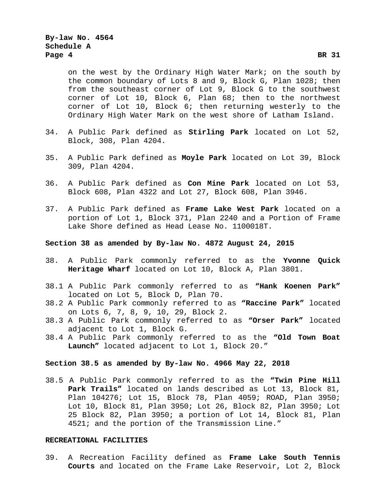on the west by the Ordinary High Water Mark; on the south by the common boundary of Lots 8 and 9, Block G, Plan 1028; then from the southeast corner of Lot 9, Block G to the southwest corner of Lot 10, Block 6, Plan 68; then to the northwest corner of Lot 10, Block 6; then returning westerly to the Ordinary High Water Mark on the west shore of Latham Island.

- 34. A Public Park defined as **Stirling Park** located on Lot 52, Block, 308, Plan 4204.
- 35. A Public Park defined as **Moyle Park** located on Lot 39, Block 309, Plan 4204.
- 36. A Public Park defined as **Con Mine Park** located on Lot 53, Block 608, Plan 4322 and Lot 27, Block 608, Plan 3946.
- 37. A Public Park defined as **Frame Lake West Park** located on a portion of Lot 1, Block 371, Plan 2240 and a Portion of Frame Lake Shore defined as Head Lease No. 1100018T.

# **Section 38 as amended by By-law No. 4872 August 24, 2015**

- 38. A Public Park commonly referred to as the **Yvonne Quick Heritage Wharf** located on Lot 10, Block A, Plan 3801.
- 38.1 A Public Park commonly referred to as **"Hank Koenen Park"** located on Lot 5, Block D, Plan 70.
- 38.2 A Public Park commonly referred to as **"Raccine Park"** located on Lots 6, 7, 8, 9, 10, 29, Block 2.
- 38.3 A Public Park commonly referred to as **"Orser Park"** located adjacent to Lot 1, Block G.
- 38.4 A Public Park commonly referred to as the **"Old Town Boat Launch"** located adjacent to Lot 1, Block 20."

# **Section 38.5 as amended by By-law No. 4966 May 22, 2018**

38.5 A Public Park commonly referred to as the **"Twin Pine Hill Park Trails"** located on lands described as Lot 13, Block 81, Plan 104276; Lot 15, Block 78, Plan 4059; ROAD, Plan 3950; Lot 10, Block 81, Plan 3950; Lot 26, Block 82, Plan 3950; Lot 25 Block 82, Plan 3950; a portion of Lot 14, Block 81, Plan 4521; and the portion of the Transmission Line."

# **RECREATIONAL FACILITIES**

39. A Recreation Facility defined as **Frame Lake South Tennis Courts** and located on the Frame Lake Reservoir, Lot 2, Block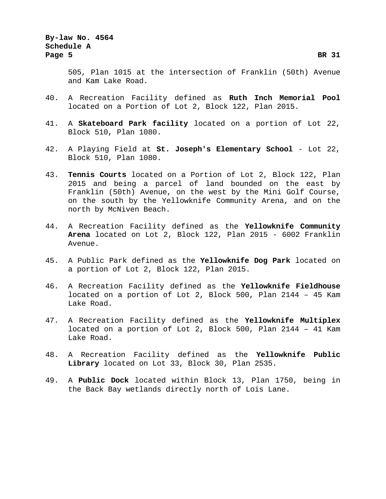505, Plan 1015 at the intersection of Franklin (50th) Avenue and Kam Lake Road.

- 40. A Recreation Facility defined as **Ruth Inch Memorial Pool** located on a Portion of Lot 2, Block 122, Plan 2015.
- 41. A **Skateboard Park facility** located on a portion of Lot 22, Block 510, Plan 1080.
- 42. A Playing Field at **St. Joseph's Elementary School** Lot 22, Block 510, Plan 1080.
- 43. **Tennis Courts** located on a Portion of Lot 2, Block 122, Plan 2015 and being a parcel of land bounded on the east by Franklin (50th) Avenue, on the west by the Mini Golf Course, on the south by the Yellowknife Community Arena, and on the north by McNiven Beach.
- 44. A Recreation Facility defined as the **Yellowknife Community Arena** located on Lot 2, Block 122, Plan 2015 - 6002 Franklin Avenue.
- 45. A Public Park defined as the **Yellowknife Dog Park** located on a portion of Lot 2, Block 122, Plan 2015.
- 46. A Recreation Facility defined as the **Yellowknife Fieldhouse** located on a portion of Lot 2, Block 500, Plan 2144 – 45 Kam Lake Road.
- 47. A Recreation Facility defined as the **Yellowknife Multiplex** located on a portion of Lot 2, Block 500, Plan 2144 – 41 Kam Lake Road.
- 48. A Recreation Facility defined as the **Yellowknife Public Library** located on Lot 33, Block 30, Plan 2535.
- 49. A **Public Dock** located within Block 13, Plan 1750, being in the Back Bay wetlands directly north of Lois Lane.